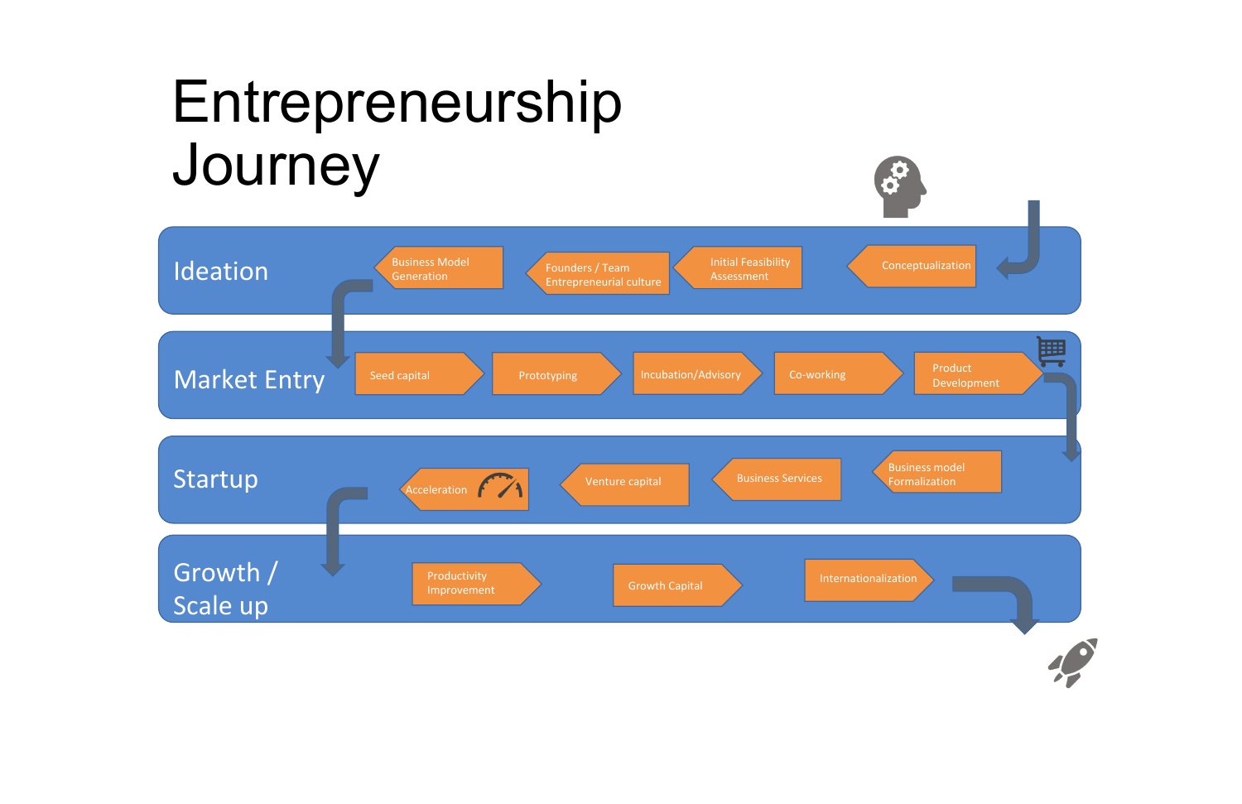## Entrepreneurship Journey

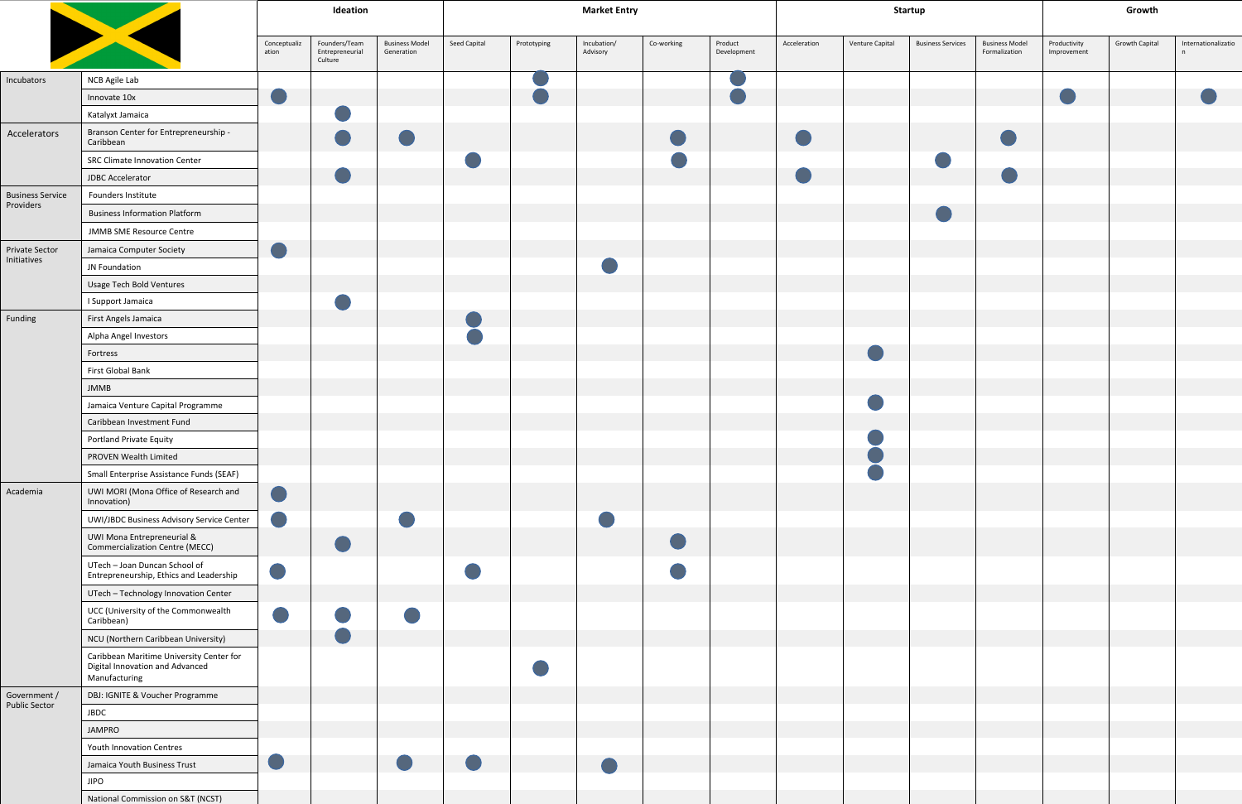|                                      |                                                                                              | Ideation              |                                             |                                     | <b>Market Entry</b> |             |                         |            | <b>Startup</b>         |              |                 |                          | Growth                                 |                             |                       |                          |
|--------------------------------------|----------------------------------------------------------------------------------------------|-----------------------|---------------------------------------------|-------------------------------------|---------------------|-------------|-------------------------|------------|------------------------|--------------|-----------------|--------------------------|----------------------------------------|-----------------------------|-----------------------|--------------------------|
|                                      |                                                                                              | Conceptualiz<br>ation | Founders/Team<br>Entrepreneurial<br>Culture | <b>Business Model</b><br>Generation | Seed Capital        | Prototyping | Incubation/<br>Advisory | Co-working | Product<br>Development | Acceleration | Venture Capital | <b>Business Services</b> | <b>Business Model</b><br>Formalization | Productivity<br>Improvement | <b>Growth Capital</b> | Internationalizatio<br>n |
| Incubators                           | NCB Agile Lab                                                                                |                       |                                             |                                     |                     |             |                         |            |                        |              |                 |                          |                                        |                             |                       |                          |
|                                      | Innovate 10x                                                                                 | O                     |                                             |                                     |                     |             |                         |            |                        |              |                 |                          |                                        |                             |                       |                          |
|                                      | Katalyxt Jamaica                                                                             |                       |                                             |                                     |                     |             |                         |            |                        |              |                 |                          |                                        |                             |                       |                          |
| Accelerators                         | Branson Center for Entrepreneurship -<br>Caribbean                                           |                       | $\bigcirc$                                  | $\bigcirc$                          |                     |             |                         |            |                        |              |                 |                          | $\bigodot$                             |                             |                       |                          |
|                                      | <b>SRC Climate Innovation Center</b>                                                         |                       |                                             |                                     |                     |             |                         |            |                        |              |                 |                          |                                        |                             |                       |                          |
|                                      | JDBC Accelerator                                                                             |                       | e e                                         |                                     |                     |             |                         |            |                        |              |                 |                          |                                        |                             |                       |                          |
| <b>Business Service</b><br>Providers | Founders Institute                                                                           |                       |                                             |                                     |                     |             |                         |            |                        |              |                 |                          |                                        |                             |                       |                          |
|                                      | <b>Business Information Platform</b>                                                         |                       |                                             |                                     |                     |             |                         |            |                        |              |                 |                          |                                        |                             |                       |                          |
|                                      | <b>JMMB SME Resource Centre</b>                                                              |                       |                                             |                                     |                     |             |                         |            |                        |              |                 |                          |                                        |                             |                       |                          |
| <b>Private Sector</b><br>Initiatives | Jamaica Computer Society                                                                     | $\bigcirc$            |                                             |                                     |                     |             |                         |            |                        |              |                 |                          |                                        |                             |                       |                          |
|                                      | JN Foundation                                                                                |                       |                                             |                                     |                     |             |                         |            |                        |              |                 |                          |                                        |                             |                       |                          |
|                                      | <b>Usage Tech Bold Ventures</b>                                                              |                       |                                             |                                     |                     |             |                         |            |                        |              |                 |                          |                                        |                             |                       |                          |
|                                      | I Support Jamaica                                                                            |                       |                                             |                                     |                     |             |                         |            |                        |              |                 |                          |                                        |                             |                       |                          |
| Funding                              | First Angels Jamaica                                                                         |                       |                                             |                                     |                     |             |                         |            |                        |              |                 |                          |                                        |                             |                       |                          |
|                                      | Alpha Angel Investors                                                                        |                       |                                             |                                     |                     |             |                         |            |                        |              |                 |                          |                                        |                             |                       |                          |
|                                      | Fortress                                                                                     |                       |                                             |                                     |                     |             |                         |            |                        |              |                 |                          |                                        |                             |                       |                          |
|                                      | First Global Bank                                                                            |                       |                                             |                                     |                     |             |                         |            |                        |              |                 |                          |                                        |                             |                       |                          |
|                                      | <b>JMMB</b>                                                                                  |                       |                                             |                                     |                     |             |                         |            |                        |              |                 |                          |                                        |                             |                       |                          |
|                                      | Jamaica Venture Capital Programme                                                            |                       |                                             |                                     |                     |             |                         |            |                        |              |                 |                          |                                        |                             |                       |                          |
|                                      | Caribbean Investment Fund                                                                    |                       |                                             |                                     |                     |             |                         |            |                        |              |                 |                          |                                        |                             |                       |                          |
|                                      | Portland Private Equity                                                                      |                       |                                             |                                     |                     |             |                         |            |                        |              |                 |                          |                                        |                             |                       |                          |
|                                      | PROVEN Wealth Limited                                                                        |                       |                                             |                                     |                     |             |                         |            |                        |              |                 |                          |                                        |                             |                       |                          |
|                                      | Small Enterprise Assistance Funds (SEAF)                                                     |                       |                                             |                                     |                     |             |                         |            |                        |              |                 |                          |                                        |                             |                       |                          |
| Academia                             | UWI MORI (Mona Office of Research and<br>Innovation)                                         | $\bigcirc$            |                                             |                                     |                     |             |                         |            |                        |              |                 |                          |                                        |                             |                       |                          |
|                                      | UWI/JBDC Business Advisory Service Center                                                    |                       |                                             |                                     |                     |             |                         |            |                        |              |                 |                          |                                        |                             |                       |                          |
|                                      | <b>UWI Mona Entrepreneurial &amp;</b><br>Commercialization Centre (MECC)                     |                       | $\bullet$                                   |                                     |                     |             |                         | C          |                        |              |                 |                          |                                        |                             |                       |                          |
|                                      | UTech - Joan Duncan School of<br>Entrepreneurship, Ethics and Leadership                     | $\bigcirc$            |                                             |                                     |                     |             |                         |            |                        |              |                 |                          |                                        |                             |                       |                          |
|                                      | UTech - Technology Innovation Center                                                         |                       |                                             |                                     |                     |             |                         |            |                        |              |                 |                          |                                        |                             |                       |                          |
|                                      | UCC (University of the Commonwealth<br>Caribbean)                                            |                       | i<br>S                                      |                                     |                     |             |                         |            |                        |              |                 |                          |                                        |                             |                       |                          |
|                                      | NCU (Northern Caribbean University)                                                          |                       | O                                           |                                     |                     |             |                         |            |                        |              |                 |                          |                                        |                             |                       |                          |
|                                      | Caribbean Maritime University Center for<br>Digital Innovation and Advanced<br>Manufacturing |                       |                                             |                                     |                     |             |                         |            |                        |              |                 |                          |                                        |                             |                       |                          |
| Government /<br><b>Public Sector</b> | DBJ: IGNITE & Voucher Programme                                                              |                       |                                             |                                     |                     |             |                         |            |                        |              |                 |                          |                                        |                             |                       |                          |
|                                      | <b>JBDC</b>                                                                                  |                       |                                             |                                     |                     |             |                         |            |                        |              |                 |                          |                                        |                             |                       |                          |
|                                      | <b>JAMPRO</b>                                                                                |                       |                                             |                                     |                     |             |                         |            |                        |              |                 |                          |                                        |                             |                       |                          |
|                                      | Youth Innovation Centres                                                                     |                       |                                             |                                     |                     |             |                         |            |                        |              |                 |                          |                                        |                             |                       |                          |
|                                      | Jamaica Youth Business Trust                                                                 | e i                   |                                             |                                     |                     |             |                         |            |                        |              |                 |                          |                                        |                             |                       |                          |
|                                      | <b>JIPO</b>                                                                                  |                       |                                             |                                     |                     |             |                         |            |                        |              |                 |                          |                                        |                             |                       |                          |
|                                      | National Commission on S&T (NCST)                                                            |                       |                                             |                                     |                     |             |                         |            |                        |              |                 |                          |                                        |                             |                       |                          |